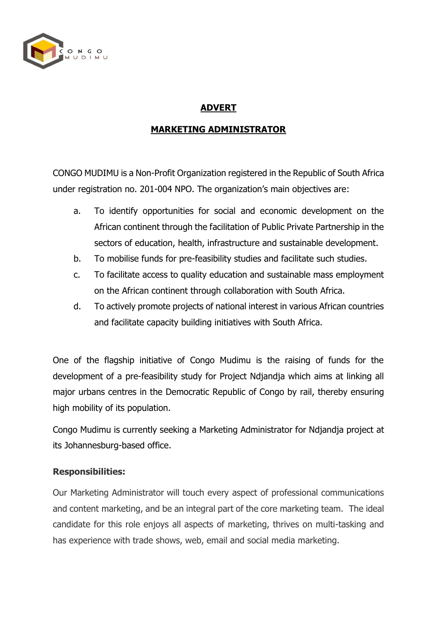

### **ADVERT**

### **MARKETING ADMINISTRATOR**

CONGO MUDIMU is a Non-Profit Organization registered in the Republic of South Africa under registration no. 201-004 NPO. The organization's main objectives are:

- a. To identify opportunities for social and economic development on the African continent through the facilitation of Public Private Partnership in the sectors of education, health, infrastructure and sustainable development.
- b. To mobilise funds for pre-feasibility studies and facilitate such studies.
- c. To facilitate access to quality education and sustainable mass employment on the African continent through collaboration with South Africa.
- d. To actively promote projects of national interest in various African countries and facilitate capacity building initiatives with South Africa.

One of the flagship initiative of Congo Mudimu is the raising of funds for the development of a pre-feasibility study for Project Ndjandja which aims at linking all major urbans centres in the Democratic Republic of Congo by rail, thereby ensuring high mobility of its population.

Congo Mudimu is currently seeking a Marketing Administrator for Ndjandja project at its Johannesburg-based office.

#### **Responsibilities:**

Our Marketing Administrator will touch every aspect of professional communications and content marketing, and be an integral part of the core marketing team. The ideal candidate for this role enjoys all aspects of marketing, thrives on multi-tasking and has experience with trade shows, web, email and social media marketing.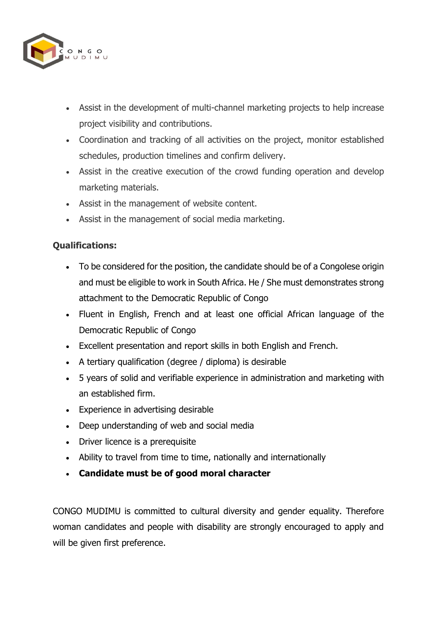

- Assist in the development of multi-channel marketing projects to help increase project visibility and contributions.
- Coordination and tracking of all activities on the project, monitor established schedules, production timelines and confirm delivery.
- Assist in the creative execution of the crowd funding operation and develop marketing materials.
- Assist in the management of website content.
- Assist in the management of social media marketing.

# **Qualifications:**

- To be considered for the position, the candidate should be of a Congolese origin and must be eligible to work in South Africa. He / She must demonstrates strong attachment to the Democratic Republic of Congo
- Fluent in English, French and at least one official African language of the Democratic Republic of Congo
- Excellent presentation and report skills in both English and French.
- A tertiary qualification (degree / diploma) is desirable
- 5 years of solid and verifiable experience in administration and marketing with an established firm.
- Experience in advertising desirable
- Deep understanding of web and social media
- Driver licence is a prerequisite
- Ability to travel from time to time, nationally and internationally
- **Candidate must be of good moral character**

CONGO MUDIMU is committed to cultural diversity and gender equality. Therefore woman candidates and people with disability are strongly encouraged to apply and will be given first preference.